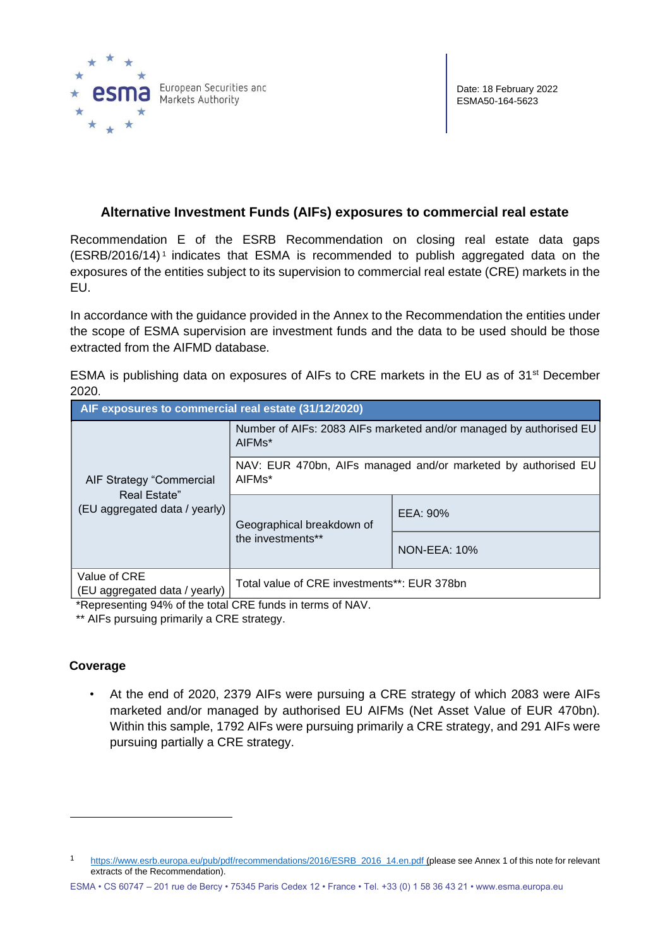

## **Alternative Investment Funds (AIFs) exposures to commercial real estate**

Recommendation E of the ESRB Recommendation on closing real estate data gaps (ESRB/2016/14) <sup>1</sup> indicates that ESMA is recommended to publish aggregated data on the exposures of the entities subject to its supervision to commercial real estate (CRE) markets in the EU.

In accordance with the guidance provided in the Annex to the Recommendation the entities under the scope of ESMA supervision are investment funds and the data to be used should be those extracted from the AIFMD database.

ESMA is publishing data on exposures of AIFs to CRE markets in the EU as of 31<sup>st</sup> December 2020.

| AIF exposures to commercial real estate (31/12/2020)                      |                                                                                           |                     |
|---------------------------------------------------------------------------|-------------------------------------------------------------------------------------------|---------------------|
| AIF Strategy "Commercial<br>Real Estate"<br>(EU aggregated data / yearly) | Number of AIFs: 2083 AIFs marketed and/or managed by authorised EU<br>AIFM <sub>s</sub> * |                     |
|                                                                           | NAV: EUR 470bn, AIFs managed and/or marketed by authorised EU<br>AIFM <sub>s</sub> *      |                     |
|                                                                           | Geographical breakdown of<br>the investments**                                            | EEA: 90%            |
|                                                                           |                                                                                           | <b>NON-EEA: 10%</b> |
| Value of CRE<br>(EU aggregated data / yearly)                             | Total value of CRE investments**: EUR 378bn                                               |                     |

\*Representing 94% of the total CRE funds in terms of NAV.

\*\* AIFs pursuing primarily a CRE strategy.

## **Coverage**

• At the end of 2020, 2379 AIFs were pursuing a CRE strategy of which 2083 were AIFs marketed and/or managed by authorised EU AIFMs (Net Asset Value of EUR 470bn). Within this sample, 1792 AIFs were pursuing primarily a CRE strategy, and 291 AIFs were pursuing partially a CRE strategy.

<sup>1</sup> [https://www.esrb.europa.eu/pub/pdf/recommendations/2016/ESRB\\_2016\\_14.en.pdf](https://www.esrb.europa.eu/pub/pdf/recommendations/2016/ESRB_2016_14.en.pdf) [\(p](https://www.esrb.europa.eu/pub/pdf/recommendations/2016/ESRB_2016_14.en.pdf)lease see Annex 1 of this note for relevant extracts of the Recommendation).